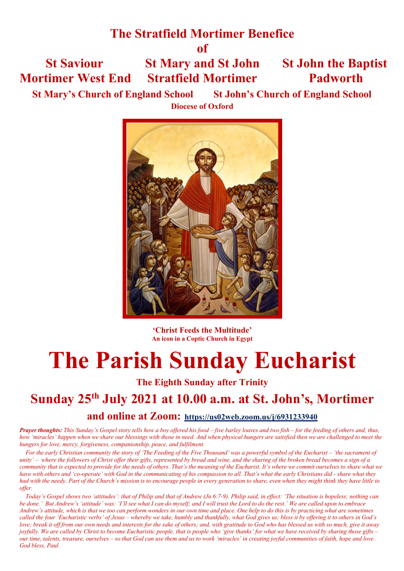# **The Stratfield Mortimer Benefice**

**of**

 **St Saviour St Mary and St John St John the Baptist Mortimer West End Stratfield Mortimer Padworth**

**St Mary's Church of England School St John's Church of England School Diocese of Oxford**



**'Christ Feeds the Multitude' An icon in a Coptic Church in Egypt**

# **The Parish Sunday Eucharist**

**The Eighth Sunday after Trinity**

# **Sunday 25th July 2021 at 10.00 a.m. at St. John's, Mortimer**

## **and online at Zoom: https://us02web.zoom.us/j/6931233940**

*Prayer thoughts: This Sunday's Gospel story tells how a boy offered his food – five barley loaves and two fish – for the feeding of others and, thus, how 'miracles' happen when we share our blessings with those in need. And when physical hungers are satisfied then we are challenged to meet the hungers for love, mercy, forgiveness, companionship, peace, and fulfilment.* 

 *For the early Christian community the story of 'The Feeding of the Five Thousand' was a powerful symbol of the Eucharist – 'the sacrament of unity' – where the followers of Christ offer their gifts, represented by bread and wine, and the sharing of the broken bread becomes a sign of a community that is expected to provide for the needs of others. That's the meaning of the Eucharist. It's where we commit ourselves to share what we have with others and 'co-operate' with God in the communicating of his compassion to all. That's what the early Christians did - share what they had with the needy. Part of the Church's mission is to encourage people in every generation to share, even when they might think they have little to offer.* 

 *Today's Gospel shows two 'attitudes': that of Philip and that of Andrew (Jn 6:7-9). Philip said, in effect: 'The situation is hopeless; nothing can be done.' But Andrew's 'attitude' was: 'I'll see what I can do myself; and I will trust the Lord to do the rest.' We are called upon to embrace Andrew's attitude, which is that we too can perform wonders in our own time and place. One help to do this is by practicing what are sometimes called the four 'Eucharistic verbs' of Jesus – whereby we take, humbly and thankfully, what God gives us; bless it by offering it to others in God's love; break it off from our own needs and interests for the sake of others; and, with gratitude to God who has blessed us with so much, give it away joyfully. We are called by Christ to become Eucharistic people, that is people who 'give thanks' for what we have received by sharing those gifts – our time, talents, treasure, ourselves – so that God can use them and us to work 'miracles' in creating joyful communities of faith, hope and love. God bless, Paul*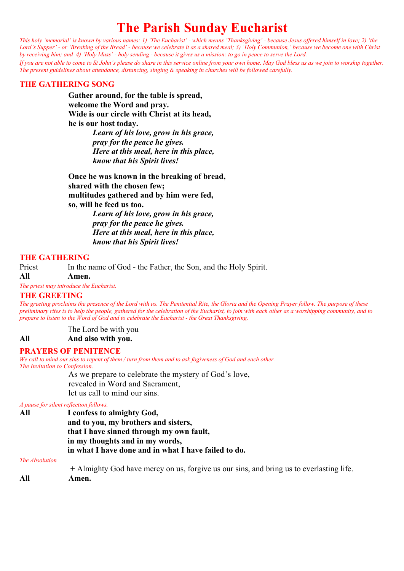# **The Parish Sunday Eucharist**

*This holy 'memorial' is known by various names: 1) 'The Eucharist' - which means 'Thanksgiving' - because Jesus offered himself in love; 2) 'the Lord's Supper' - or 'Breaking of the Bread' - because we celebrate it as a shared meal; 3) 'Holy Communion,' because we become one with Christ by receiving him; and 4) 'Holy Mass' - holy sending - because it gives us a mission: to go in peace to serve the Lord.*

*If you are not able to come to St John's please do share in this service online from your own home. May God bless us as we join to worship together. The present guidelines about attendance, distancing, singing & speaking in churches will be followed carefully.*

#### **THE GATHERING SONG**

**Gather around, for the table is spread, welcome the Word and pray. Wide is our circle with Christ at its head, he is our host today.**

> *Learn of his love, grow in his grace, pray for the peace he gives. Here at this meal, here in this place, know that his Spirit lives!*

**Once he was known in the breaking of bread, shared with the chosen few; multitudes gathered and by him were fed, so, will he feed us too.**

*Learn of his love, grow in his grace, pray for the peace he gives. Here at this meal, here in this place, know that his Spirit lives!*

#### **THE GATHERING**

Priest In the name of God - the Father, the Son, and the Holy Spirit. **All Amen.**

*The priest may introduce the Eucharist.*

#### **THE GREETING**

*The greeting proclaims the presence of the Lord with us. The Penitential Rite, the Gloria and the Opening Prayer follow. The purpose of these preliminary rites is to help the people, gathered for the celebration of the Eucharist, to join with each other as a worshipping community, and to prepare to listen to the Word of God and to celebrate the Eucharist - the Great Thanksgiving.*

The Lord be with you **All And also with you.**

#### **PRAYERS OF PENITENCE**

*We call to mind our sins to repent of them / turn from them and to ask fogiveness of God and each other. The Invitation to Confession.*

As we prepare to celebrate the mystery of God's love, revealed in Word and Sacrament, let us call to mind our sins.

#### *A pause for silent reflection follows.*

| All | I confess to almighty God,                           |
|-----|------------------------------------------------------|
|     | and to you, my brothers and sisters,                 |
|     | that I have sinned through my own fault,             |
|     | in my thoughts and in my words,                      |
|     | in what I have done and in what I have failed to do. |

#### **The Absolution**

 **+** Almighty God have mercy on us, forgive us our sins, and bring us to everlasting life. **All Amen.**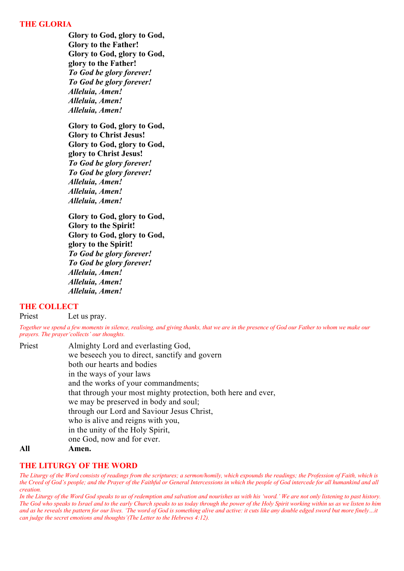#### **THE GLORIA**

**Glory to God, glory to God, Glory to the Father! Glory to God, glory to God, glory to the Father!** *To God be glory forever! To God be glory forever! Alleluia, Amen! Alleluia, Amen! Alleluia, Amen!*

**Glory to God, glory to God, Glory to Christ Jesus! Glory to God, glory to God, glory to Christ Jesus!** *To God be glory forever! To God be glory forever! Alleluia, Amen! Alleluia, Amen! Alleluia, Amen!*

**Glory to God, glory to God, Glory to the Spirit! Glory to God, glory to God, glory to the Spirit!** *To God be glory forever! To God be glory forever! Alleluia, Amen! Alleluia, Amen! Alleluia, Amen!*

#### **THE COLLECT**

Priest Let us pray.

*Together we spend a few moments in silence, realising, and giving thanks, that we are in the presence of God our Father to whom we make our prayers. The prayer'collects' our thoughts.* 

| Priest      | Almighty Lord and everlasting God,                            |
|-------------|---------------------------------------------------------------|
|             | we beseech you to direct, sanctify and govern                 |
|             | both our hearts and bodies                                    |
|             | in the ways of your laws                                      |
|             | and the works of your commandments;                           |
|             | that through your most mighty protection, both here and ever, |
|             | we may be preserved in body and soul;                         |
|             | through our Lord and Saviour Jesus Christ,                    |
|             | who is alive and reigns with you,                             |
|             | in the unity of the Holy Spirit,                              |
|             | one God, now and for ever.                                    |
| <b>A 11</b> |                                                               |

#### **All Amen.**

#### **THE LITURGY OF THE WORD**

*The Liturgy of the Word consists of readings from the scriptures; a sermon/homily, which expounds the readings; the Profession of Faith, which is the Creed of God's people; and the Prayer of the Faithful or General Intercessions in which the people of God intercede for all humankind and all creation.* 

*In the Liturgy of the Word God speaks to us of redemption and salvation and nourishes us with his 'word.' We are not only listening to past history. The God who speaks to Israel and to the early Church speaks to us today through the power of the Holy Spirit working within us as we listen to him*  and as he reveals the pattern for our lives. 'The word of God is something alive and active: it cuts like any double edged sword but more finely...it *can judge the secret emotions and thoughts'(The Letter to the Hebrews 4:12).*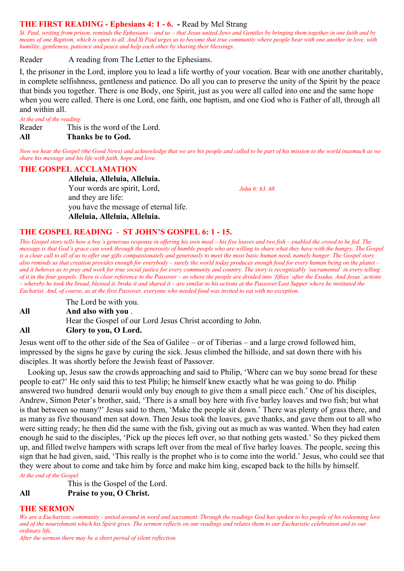#### **THE FIRST READING - Ephesians 4: 1 - 6. -** Read by Mel Strang

*St. Paul, writing from prison, reminds the Ephesians – and us – that Jesus united Jews and Gentiles by bringing them together in one faith and by means of one Baptism, which is open to all. And St Paul urges us to become that true community where people bear with one another in love, with humility, gentleness, patience and peace and help each other by sharing their blessings.* 

Reader A reading from The Letter to the Ephesians.

I, the prisoner in the Lord, implore you to lead a life worthy of your vocation. Bear with one another charitably, in complete selfishness, gentleness and patience. Do all you can to preserve the unity of the Spirit by the peace that binds you together. There is one Body, one Spirit, just as you were all called into one and the same hope when you were called. There is one Lord, one faith, one baptism, and one God who is Father of all, through all and within all.

*At the end of the reading:*

Reader This is the word of the Lord.

#### **All Thanks be to God.**

*Now we hear the Gospel (the Good News) and acknowledge that we are his people and called to be part of his mission to the world inasmuch as we share his message and his life with faith, hope and love.*

#### **THE GOSPEL ACCLAMATION**

**Alleluia, Alleluia, Alleluia.** Your words are spirit, Lord, *John 6: 63. 68.* and they are life: you have the message of eternal life. **Alleluia, Alleluia, Alleluia.**

#### **THE GOSPEL READING** - **ST JOHN'S GOSPEL 6: 1 - 15.**

*This Gospel story tells how a boy's generous response in offering his own meal – his five loaves and two fish – enabled the crowd to be fed. The message is that God's grace can work through the generosity of humble people who are willing to share what they have with the hungry. The Gospel is a clear call to all of us to offer our gifts compassionately and generously to meet the most basic human need, namely hunger. The Gospel story also reminds us that creation provides enough for everybody – surely the world today produces enough food for every human being on the planet – and it behoves us to pray and work for true social justice for every community and country. The story is recognizably 'sacramental' in every telling of it in the four gospels. There is clear reference to the Passover – as where the people are divided into 'fifties' after the Exodus. And Jesus' actions – whereby he took the bread, blessed it, broke it and shared it – are similar to his actions at the Passover/Last Supper where he instituted the Eucharist. And, of course, as at the first Passover, everyone who needed food was invited to eat with no exception.*

The Lord be with you. **All And also with you** . Hear the Gospel of our Lord Jesus Christ according to John. **All Glory to you, O Lord.** 

Jesus went off to the other side of the Sea of Galilee – or of Tiberias – and a large crowd followed him, impressed by the signs he gave by curing the sick. Jesus climbed the hillside, and sat down there with his disciples. It was shortly before the Jewish feast of Passover.

 Looking up, Jesus saw the crowds approaching and said to Philip, 'Where can we buy some bread for these people to eat?' He only said this to test Philip; he himself knew exactly what he was going to do. Philip answered two hundred denarii would only buy enough to give them a small piece each.' One of his disciples, Andrew, Simon Peter's brother, said, 'There is a small boy here with five barley loaves and two fish; but what is that between so many?' Jesus said to them, 'Make the people sit down.' There was plenty of grass there, and as many as five thousand men sat down. Then Jesus took the loaves, gave thanks, and gave them out to all who were sitting ready; he then did the same with the fish, giving out as much as was wanted. When they had eaten enough he said to the disciples, 'Pick up the pieces left over, so that nothing gets wasted.' So they picked them up, and filled twelve hampers with scraps left over from the meal of five barley loaves. The people, seeing this sign that he had given, said, 'This really is the prophet who is to come into the world.' Jesus, who could see that they were about to come and take him by force and make him king, escaped back to the hills by himself. *At the end of the Gospel*

This is the Gospel of the Lord.

**All Praise to you, O Christ.**

#### **THE SERMON**

*We are a Eucharistic community - united around in word and sacrament. Through the readings God has spoken to his people of his redeeming love and of the nourishment which his Spirit gives. The sermon reflects on our readings and relates them to our Eucharistic celebration and to our ordinary life.*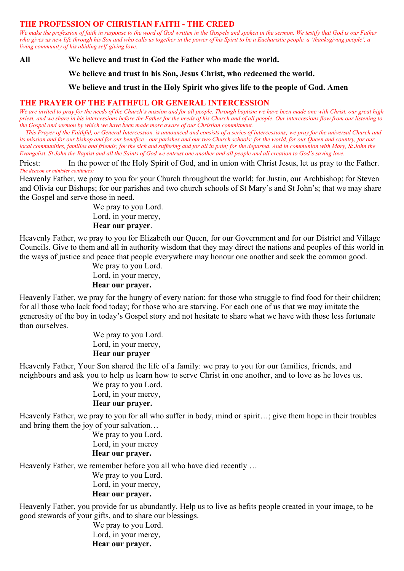#### **THE PROFESSION OF CHRISTIAN FAITH - THE CREED**

*We make the profession of faith in response to the word of God written in the Gospels and spoken in the sermon. We testify that God is our Father who gives us new life through his Son and who calls us together in the power of his Spirit to be a Eucharistic people, a 'thanksgiving people', a living community of his abiding self-giving love.*

**All We believe and trust in God the Father who made the world.** 

**We believe and trust in his Son, Jesus Christ, who redeemed the world.** 

**We believe and trust in the Holy Spirit who gives life to the people of God. Amen**

#### **THE PRAYER OF THE FAITHFUL OR GENERAL INTERCESSION**

*We are invited to pray for the needs of the Church's mission and for all people. Through baptism we have been made one with Christ, our great high priest, and we share in his intercessions before the Father for the needs of his Church and of all people. Our intercessions flow from our listening to the Gospel and sermon by which we have been made more aware of our Christian commitment.* 

 *This Prayer of the Faithful, or General Intercession, is announced and consists of a series of intercessions; we pray for the universal Church and its mission and for our bishop and for our benefice - our parishes and our two Church schools; for the world, for our Queen and country, for our local communities, families and friends; for the sick and suffering and for all in pain; for the departed. And in communion with Mary, St John the Evangelist, St John the Baptist and all the Saints of God we entrust one another and all people and all creation to God's saving love.*

Priest: In the power of the Holy Spirit of God, and in union with Christ Jesus, let us pray to the Father. *The deacon or minister continues:*

Heavenly Father, we pray to you for your Church throughout the world; for Justin, our Archbishop; for Steven and Olivia our Bishops; for our parishes and two church schools of St Mary's and St John's; that we may share the Gospel and serve those in need.

> We pray to you Lord. Lord, in your mercy, **Hear our prayer**.

Heavenly Father, we pray to you for Elizabeth our Queen, for our Government and for our District and Village Councils. Give to them and all in authority wisdom that they may direct the nations and peoples of this world in the ways of justice and peace that people everywhere may honour one another and seek the common good.

> We pray to you Lord. Lord, in your mercy,  **Hear our prayer.**

Heavenly Father, we pray for the hungry of every nation: for those who struggle to find food for their children; for all those who lack food today; for those who are starving. For each one of us that we may imitate the generosity of the boy in today's Gospel story and not hesitate to share what we have with those less fortunate than ourselves.

> We pray to you Lord. Lord, in your mercy,  **Hear our prayer**

Heavenly Father, Your Son shared the life of a family: we pray to you for our families, friends, and neighbours and ask you to help us learn how to serve Christ in one another, and to love as he loves us.

We pray to you Lord.

Lord, in your mercy,

#### **Hear our prayer.**

Heavenly Father, we pray to you for all who suffer in body, mind or spirit…; give them hope in their troubles and bring them the joy of your salvation…

 We pray to you Lord. Lord, in your mercy  **Hear our prayer.**

Heavenly Father, we remember before you all who have died recently …

 We pray to you Lord. Lord, in your mercy,

### **Hear our prayer.**

Heavenly Father, you provide for us abundantly. Help us to live as befits people created in your image, to be good stewards of your gifts, and to share our blessings.

We pray to you Lord. Lord, in your mercy,  **Hear our prayer.**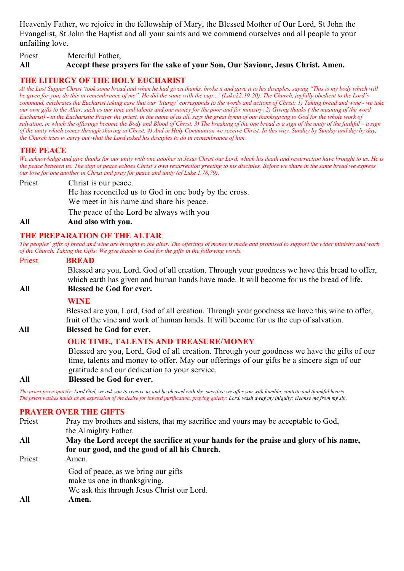Heavenly Father, we rejoice in the fellowship of Mary, the Blessed Mother of Our Lord, St John the Evangelist, St John the Baptist and all your saints and we commend ourselves and all people to your unfailing love.

Priest Merciful Father, **All Accept these prayers for the sake of your Son, Our Saviour, Jesus Christ. Amen.**

#### **THE LITURGY OF THE HOLY EUCHARIST**

*At the Last Supper Christ 'took some bread and when he had given thanks, broke it and gave it to his disciples, saying "This is my body which will be given for you; do this in remembrance of me". He did the same with the cup…' (Luke22:19-20). The Church, joyfully obedient to the Lord's command, celebrates the Eucharist taking care that our 'liturgy' corresponds to the words and actions of Christ: 1) Taking bread and wine - we take our own gifts to the Altar, such as our time and talents and our money for the poor and for ministry. 2) Giving thanks ( the meaning of the word Eucharist) - in the Eucharistic Prayer the priest, in the name of us all, says the great hymn of our thanksgiving to God for the whole work of salvation, in which the offerings become the Body and Blood of Christ. 3) The breaking of the one bread is a sign of the unity of the faithful – a sign of the unity which comes through sharing in Christ. 4) And in Holy Communion we receive Christ. In this way, Sunday by Sunday and day by day, the Church tries to carry out what the Lord asked his disciples to do in remembrance of him.*

#### **THE PEACE**

*We acknowledge and give thanks for our unity with one another in Jesus Christ our Lord, which his death and resurrection have brought to us. He is the peace between us. The sign of peace echoes Christ's own resurrection greeting to his disciples. Before we share in the same bread we express our love for one another in Christ and pray for peace and unity (cf Luke 1.78,79).*

Priest Christ is our peace. He has reconciled us to God in one body by the cross. We meet in his name and share his peace. The peace of the Lord be always with you

#### **All And also with you.**

#### **THE PREPARATION OF THE ALTAR**

*The peoples' gifts of bread and wine are brought to the altar. The offerings of money is made and promised to support the wider ministry and work of the Church. Taking the Gifts: We give thanks to God for the gifts in the following words.*

#### Priest **BREAD**

Blessed are you, Lord, God of all creation. Through your goodness we have this bread to offer, which earth has given and human hands have made. It will become for us the bread of life. **All Blessed be God for ever.**

#### **WINE**

Blessed are you, Lord, God of all creation. Through your goodness we have this wine to offer, fruit of the vine and work of human hands. It will become for us the cup of salvation.

#### **All All Blessed be God for ever.**

#### **OUR TIME, TALENTS AND TREASURE/MONEY**

Blessed are you, Lord, God of all creation. Through your goodness we have the gifts of our time, talents and money to offer. May our offerings of our gifts be a sincere sign of our gratitude and our dedication to your service.

#### **All Blessed be God for ever.**

*The priest prays quietly: Lord God, we ask you to receive us and be pleased with the sacrifice we offer you with humble, contrite and thankful hearts. The priest washes hands as an expression of the desire for inward purification, praying quietly: Lord, wash away my iniquity; cleanse me from my sin.*

#### **PRAYER OVER THE GIFTS**

Priest Pray my brothers and sisters, that my sacrifice and yours may be acceptable to God, the Almighty Father.

- **All May the Lord accept the sacrifice at your hands for the praise and glory of his name, for our good, and the good of all his Church.**
- Priest Amen. God of peace, as we bring our gifts make us one in thanksgiving. We ask this through Jesus Christ our Lord. **All Amen.**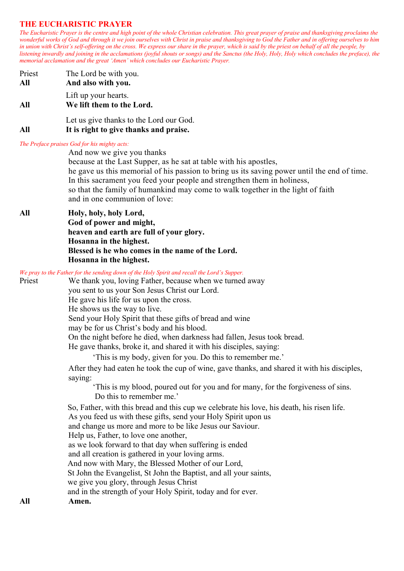#### **THE EUCHARISTIC PRAYER**

*The Eucharistic Prayer is the centre and high point of the whole Christian celebration. This great prayer of praise and thanksgiving proclaims the wonderful works of God and through it we join ourselves with Christ in praise and thanksgiving to God the Father and in offering ourselves to him in union with Christ's self-offering on the cross. We express our share in the prayer, which is said by the priest on behalf of all the people, by listening inwardly and joining in the acclamations (joyful shouts or songs) and the Sanctus (the Holy, Holy, Holy which concludes the preface), the memorial acclamation and the great 'Amen' which concludes our Eucharistic Prayer.*

| Lift up your hearts.<br>We lift them to the Lord. |  |  |  |
|---------------------------------------------------|--|--|--|
| Let us give thanks to the Lord our God.           |  |  |  |
|                                                   |  |  |  |

**All It is right to give thanks and praise.**

#### *The Preface praises God for his mighty acts:*

And now we give you thanks because at the Last Supper, as he sat at table with his apostles, he gave us this memorial of his passion to bring us its saving power until the end of time. In this sacrament you feed your people and strengthen them in holiness, so that the family of humankind may come to walk together in the light of faith and in one communion of love:

#### **All Holy, holy, holy Lord,**

**God of power and might, heaven and earth are full of your glory. Hosanna in the highest. Blessed is he who comes in the name of the Lord. Hosanna in the highest.**

|  |  |  |  |  |  | We pray to the Father for the sending down of the Holy Spirit and recall the Lord's Supper. |
|--|--|--|--|--|--|---------------------------------------------------------------------------------------------|
|--|--|--|--|--|--|---------------------------------------------------------------------------------------------|

Priest We thank you, loving Father, because when we turned away you sent to us your Son Jesus Christ our Lord.

He gave his life for us upon the cross.

He shows us the way to live.

Send your Holy Spirit that these gifts of bread and wine

may be for us Christ's body and his blood.

On the night before he died, when darkness had fallen, Jesus took bread.

He gave thanks, broke it, and shared it with his disciples, saying:

'This is my body, given for you. Do this to remember me.'

After they had eaten he took the cup of wine, gave thanks, and shared it with his disciples, saying:

 'This is my blood, poured out for you and for many, for the forgiveness of sins. Do this to remember me.'

So, Father, with this bread and this cup we celebrate his love, his death, his risen life. As you feed us with these gifts, send your Holy Spirit upon us

and change us more and more to be like Jesus our Saviour.

Help us, Father, to love one another,

as we look forward to that day when suffering is ended

and all creation is gathered in your loving arms.

And now with Mary, the Blessed Mother of our Lord,

St John the Evangelist, St John the Baptist, and all your saints,

we give you glory, through Jesus Christ

and in the strength of your Holy Spirit, today and for ever.

**All Amen.**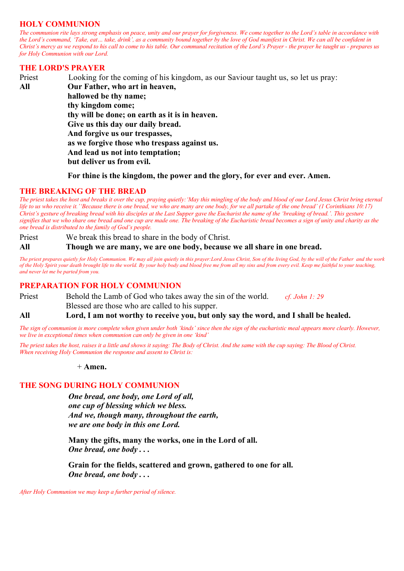#### **HOLY COMMUNION**

*The communion rite lays strong emphasis on peace, unity and our prayer for forgiveness. We come together to the Lord's table in accordance with the Lord's command, 'Take, eat… take, drink', as a community bound together by the love of God manifest in Christ. We can all be confident in Christ's mercy as we respond to his call to come to his table. Our communal recitation of the Lord's Prayer - the prayer he taught us - prepares us for Holy Communion with our Lord.*

#### **THE LORD'S PRAYER**

Priest Looking for the coming of his kingdom, as our Saviour taught us, so let us pray: **All Our Father, who art in heaven, hallowed be thy name; thy kingdom come; thy will be done; on earth as it is in heaven. Give us this day our daily bread. And forgive us our trespasses, as we forgive those who trespass against us. And lead us not into temptation; but deliver us from evil.**

**For thine is the kingdom, the power and the glory, for ever and ever. Amen.**

#### **THE BREAKING OF THE BREAD**

*The priest takes the host and breaks it over the cup, praying quietly:'May this mingling of the body and blood of our Lord Jesus Christ bring eternal life to us who receive it.''Because there is one bread, we who are many are one body, for we all partake of the one bread' (1 Corinthians 10:17) Christ's gesture of breaking bread with his disciples at the Last Supper gave the Eucharist the name of the 'breaking of bread.'. This gesture signifies that we who share one bread and one cup are made one. The breaking of the Eucharistic bread becomes a sign of unity and charity as the one bread is distributed to the family of God's people.*

Priest We break this bread to share in the body of Christ. **All Though we are many, we are one body, because we all share in one bread.**

*The priest prepares quietly for Holy Communion. We may all join quietly in this prayer:Lord Jesus Christ, Son of the living God, by the will of the Father and the work of the Holy Spirit your death brought life to the world. By your holy body and blood free me from all my sins and from every evil. Keep me faithful to your teaching, and never let me be parted from you.*

#### **PREPARATION FOR HOLY COMMUNION**

Priest Behold the Lamb of God who takes away the sin of the world. *cf. John 1: 29* Blessed are those who are called to his supper.

**All Lord, I am not worthy to receive you, but only say the word, and I shall be healed.**

*The sign of communion is more complete when given under both 'kinds' since then the sign of the eucharistic meal appears more clearly. However, we live in exceptional times when communion can only be given in one 'kind'*

*The priest takes the host, raises it a little and shows it saying: The Body of Christ. And the same with the cup saying: The Blood of Christ. When receiving Holy Communion the response and assent to Christ is:*

+ **Amen.** 

#### **THE SONG DURING HOLY COMMUNION**

*One bread, one body, one Lord of all, one cup of blessing which we bless. And we, though many, throughout the earth, we are one body in this one Lord.*

**Many the gifts, many the works, one in the Lord of all.** *One bread, one body . . .*

**Grain for the fields, scattered and grown, gathered to one for all.**  *One bread, one body . . .*

*After Holy Communion we may keep a further period of silence.*